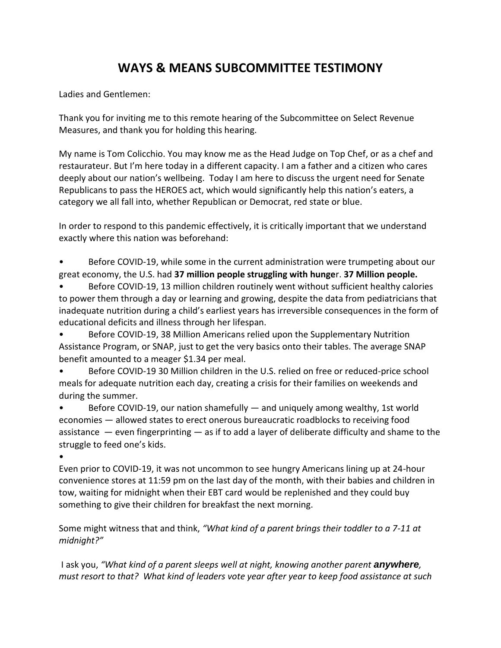## **WAYS & MEANS SUBCOMMITTEE TESTIMONY**

Ladies and Gentlemen:

Thank you for inviting me to this remote hearing of the Subcommittee on Select Revenue Measures, and thank you for holding this hearing.

My name is Tom Colicchio. You may know me as the Head Judge on Top Chef, or as a chef and restaurateur. But I'm here today in a different capacity. I am a father and a citizen who cares deeply about our nation's wellbeing. Today I am here to discuss the urgent need for Senate Republicans to pass the HEROES act, which would significantly help this nation's eaters, a category we all fall into, whether Republican or Democrat, red state or blue.

In order to respond to this pandemic effectively, it is critically important that we understand exactly where this nation was beforehand:

• Before COVID-19, while some in the current administration were trumpeting about our great economy, the U.S. had **37 million people struggling with hunge**r. **37 Million people.** 

• Before COVID-19, 13 million children routinely went without sufficient healthy calories to power them through a day or learning and growing, despite the data from pediatricians that inadequate nutrition during a child's earliest years has irreversible consequences in the form of educational deficits and illness through her lifespan.

• Before COVID-19, 38 Million Americans relied upon the Supplementary Nutrition Assistance Program, or SNAP, just to get the very basics onto their tables. The average SNAP benefit amounted to a meager \$1.34 per meal.

• Before COVID-19 30 Million children in the U.S. relied on free or reduced-price school meals for adequate nutrition each day, creating a crisis for their families on weekends and during the summer.

• Before COVID-19, our nation shamefully — and uniquely among wealthy, 1st world economies — allowed states to erect onerous bureaucratic roadblocks to receiving food assistance — even fingerprinting — as if to add a layer of deliberate difficulty and shame to the struggle to feed one's kids.

•

Even prior to COVID-19, it was not uncommon to see hungry Americans lining up at 24-hour convenience stores at 11:59 pm on the last day of the month, with their babies and children in tow, waiting for midnight when their EBT card would be replenished and they could buy something to give their children for breakfast the next morning.

Some might witness that and think, *"What kind of a parent brings their toddler to a 7-11 at midnight?"*

I ask you, *"What kind of a parent sleeps well at night, knowing another parent anywhere, must resort to that? What kind of leaders vote year after year to keep food assistance at such*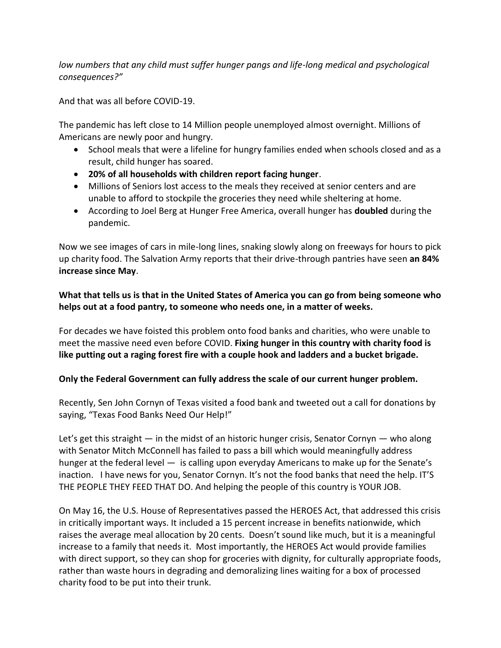low numbers that any child must suffer hunger pangs and life-long medical and psychological *consequences?"*

And that was all before COVID-19.

The pandemic has left close to 14 Million people unemployed almost overnight. Millions of Americans are newly poor and hungry.

- School meals that were a lifeline for hungry families ended when schools closed and as a result, child hunger has soared.
- **20% of all households with children report facing hunger**.
- Millions of Seniors lost access to the meals they received at senior centers and are unable to afford to stockpile the groceries they need while sheltering at home.
- According to Joel Berg at Hunger Free America, overall hunger has **doubled** during the pandemic.

Now we see images of cars in mile-long lines, snaking slowly along on freeways for hours to pick up charity food. The Salvation Army reports that their drive-through pantries have seen **an 84% increase since May**.

**What that tells us is that in the United States of America you can go from being someone who helps out at a food pantry, to someone who needs one, in a matter of weeks.** 

For decades we have foisted this problem onto food banks and charities, who were unable to meet the massive need even before COVID. **Fixing hunger in this country with charity food is like putting out a raging forest fire with a couple hook and ladders and a bucket brigade.**

## **Only the Federal Government can fully address the scale of our current hunger problem.**

Recently, Sen John Cornyn of Texas visited a food bank and tweeted out a call for donations by saying, "Texas Food Banks Need Our Help!"

Let's get this straight  $-$  in the midst of an historic hunger crisis, Senator Cornyn  $-$  who along with Senator Mitch McConnell has failed to pass a bill which would meaningfully address hunger at the federal level — is calling upon everyday Americans to make up for the Senate's inaction. I have news for you, Senator Cornyn. It's not the food banks that need the help. IT'S THE PEOPLE THEY FEED THAT DO. And helping the people of this country is YOUR JOB.

On May 16, the U.S. House of Representatives passed the HEROES Act, that addressed this crisis in critically important ways. It included a 15 percent increase in benefits nationwide, which raises the average meal allocation by 20 cents. Doesn't sound like much, but it is a meaningful increase to a family that needs it. Most importantly, the HEROES Act would provide families with direct support, so they can shop for groceries with dignity, for culturally appropriate foods, rather than waste hours in degrading and demoralizing lines waiting for a box of processed charity food to be put into their trunk.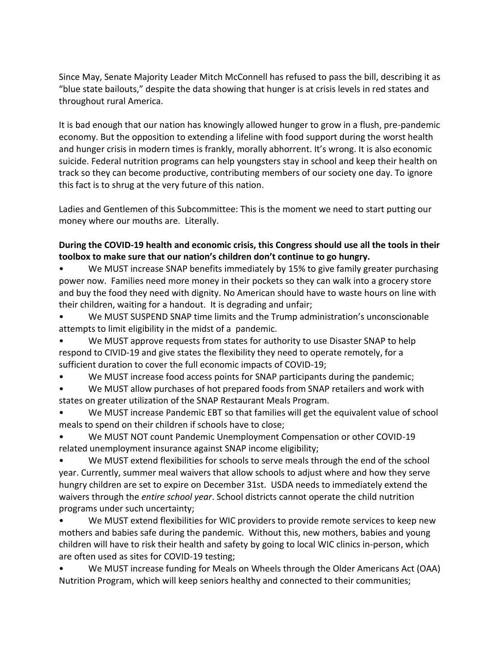Since May, Senate Majority Leader Mitch McConnell has refused to pass the bill, describing it as "blue state bailouts," despite the data showing that hunger is at crisis levels in red states and throughout rural America.

It is bad enough that our nation has knowingly allowed hunger to grow in a flush, pre-pandemic economy. But the opposition to extending a lifeline with food support during the worst health and hunger crisis in modern times is frankly, morally abhorrent. It's wrong. It is also economic suicide. Federal nutrition programs can help youngsters stay in school and keep their health on track so they can become productive, contributing members of our society one day. To ignore this fact is to shrug at the very future of this nation.

Ladies and Gentlemen of this Subcommittee: This is the moment we need to start putting our money where our mouths are. Literally.

## **During the COVID-19 health and economic crisis, this Congress should use all the tools in their toolbox to make sure that our nation's children don't continue to go hungry.**

We MUST increase SNAP benefits immediately by 15% to give family greater purchasing power now. Families need more money in their pockets so they can walk into a grocery store and buy the food they need with dignity. No American should have to waste hours on line with their children, waiting for a handout. It is degrading and unfair;

- We MUST SUSPEND SNAP time limits and the Trump administration's unconscionable attempts to limit eligibility in the midst of a pandemic.
- We MUST approve requests from states for authority to use Disaster SNAP to help respond to CIVID-19 and give states the flexibility they need to operate remotely, for a sufficient duration to cover the full economic impacts of COVID-19;
- We MUST increase food access points for SNAP participants during the pandemic;
- We MUST allow purchases of hot prepared foods from SNAP retailers and work with states on greater utilization of the SNAP Restaurant Meals Program.
- We MUST increase Pandemic EBT so that families will get the equivalent value of school meals to spend on their children if schools have to close;
- We MUST NOT count Pandemic Unemployment Compensation or other COVID-19 related unemployment insurance against SNAP income eligibility;
- We MUST extend flexibilities for schools to serve meals through the end of the school year. Currently, summer meal waivers that allow schools to adjust where and how they serve hungry children are set to expire on December 31st. USDA needs to immediately extend the waivers through the *entire school year*. School districts cannot operate the child nutrition programs under such uncertainty;
- We MUST extend flexibilities for WIC providers to provide remote services to keep new mothers and babies safe during the pandemic. Without this, new mothers, babies and young children will have to risk their health and safety by going to local WIC clinics in-person, which are often used as sites for COVID-19 testing;
- We MUST increase funding for Meals on Wheels through the Older Americans Act (OAA) Nutrition Program, which will keep seniors healthy and connected to their communities;